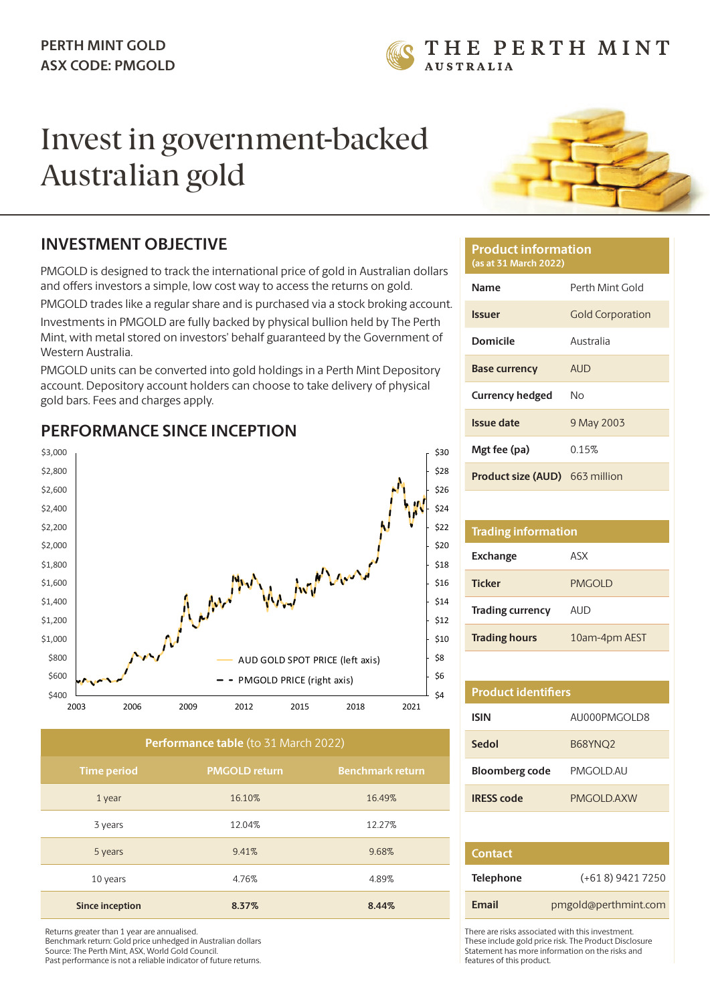

# Invest in government-backed Australian gold



## **INVESTMENT OBJECTIVE**

PMGOLD is designed to track the international price of gold in Australian dollars and offers investors a simple, low cost way to access the returns on gold.

PMGOLD trades like a regular share and is purchased via a stock broking account.

Investments in PMGOLD are fully backed by physical bullion held by The Perth Mint, with metal stored on investors' behalf guaranteed by the Government of Western Australia.

PMGOLD units can be converted into gold holdings in a Perth Mint Depository account. Depository account holders can choose to take delivery of physical gold bars. Fees and charges apply.



### **PERFORMANCE SINCE INCEPTION**

| Performance table (to 31 March 2022) |                      |                         |
|--------------------------------------|----------------------|-------------------------|
| <b>Time period</b>                   | <b>PMGOLD return</b> | <b>Benchmark return</b> |
| 1 year                               | 16.10%               | 16.49%                  |
| 3 years                              | 12.04%               | 12.27%                  |
| 5 years                              | 9.41%                | 9.68%                   |
| 10 years                             | 4.76%                | 4.89%                   |
| <b>Since inception</b>               | 8.37%                | 8.44%                   |

Returns greater than 1 year are annualised. Benchmark return: Gold price unhedged in Australian dollars Source: The Perth Mint, ASX, World Gold Council. Past performance is not a reliable indicator of future returns.

#### **Product information (as at 31 March 2022)**

| <b>Name</b>                           | Perth Mint Gold         |
|---------------------------------------|-------------------------|
|                                       |                         |
| <b>Issuer</b>                         | <b>Gold Corporation</b> |
| Domicile                              | Australia               |
| <b>Base currency</b>                  | AUD                     |
| <b>Currency hedged</b>                | N٥                      |
| Issue date                            | 9 May 2003              |
| Mgt fee (pa)                          | 0.15%                   |
| <b>Product size (AUD)</b> 663 million |                         |

## **Trading information Exchange** ASX **Ticker** PMGOLD **Trading currency** AUD

**Trading hours** 10am-4pm AEST

| <b>Product identifiers</b> |                     |
|----------------------------|---------------------|
| <b>ISIN</b>                | ALIOOOPMGOLD8       |
| Sedol                      | B68YNO <sub>2</sub> |
| <b>Bloomberg code</b>      | PMGOI D AU          |
| <b>IRESS</b> code          | PMGOLD AXW          |
|                            |                     |

| <b>Contact</b>   |                      |
|------------------|----------------------|
| <b>Telephone</b> | $(+618)$ 9421 7250   |
| <b>Email</b>     | pmgold@perthmint.com |

There are risks associated with this investment. These include gold price risk. The Product Disclosure Statement has more information on the risks and features of this product.